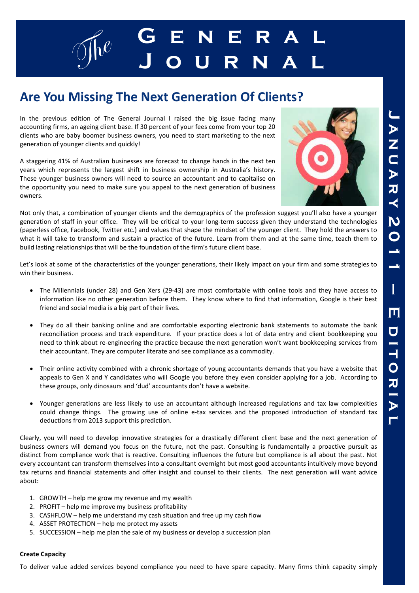

## **Are You Missing The Next Generation Of Clients?**

In the previous edition of The General Journal I raised the big issue facing many accounting firms, an ageing client base. If 30 percent of your fees come from your top 20 clients who are baby boomer business owners, you need to start marketing to the next generation of younger clients and quickly!

A staggering 41% of Australian businesses are forecast to change hands in the next ten years which represents the largest shift in business ownership in Australia's history. These younger business owners will need to source an accountant and to capitalise on the opportunity you need to make sure you appeal to the next generation of business owners.



Not only that, a combination of younger clients and the demographics of the profession suggest you'll also have a younger generation of staff in your office. They will be critical to your long-term success given they understand the technologies (paperless office, Facebook, Twitter etc.) and values that shape the mindset of the younger client. They hold the answers to what it will take to transform and sustain a practice of the future. Learn from them and at the same time, teach them to build lasting relationships that will be the foundation of the firm's future client base.

Let's look at some of the characteristics of the younger generations, their likely impact on your firm and some strategies to win their business.

- The Millennials (under 28) and Gen Xers (29-43) are most comfortable with online tools and they have access to information like no other generation before them. They know where to find that information, Google is their best friend and social media is a big part of their lives.
- They do all their banking online and are comfortable exporting electronic bank statements to automate the bank reconciliation process and track expenditure. If your practice does a lot of data entry and client bookkeeping you need to think about re-engineering the practice because the next generation won't want bookkeeping services from their accountant. They are computer literate and see compliance as a commodity.
- Their online activity combined with a chronic shortage of young accountants demands that you have a website that appeals to Gen X and Y candidates who will Google you before they even consider applying for a job. According to these groups, only dinosaurs and 'dud' accountants don't have a website.
- Younger generations are less likely to use an accountant although increased regulations and tax law complexities could change things. The growing use of online e-tax services and the proposed introduction of standard tax deductions from 2013 support this prediction.

Clearly, you will need to develop innovative strategies for a drastically different client base and the next generation of business owners will demand you focus on the future, not the past. Consulting is fundamentally a proactive pursuit as distinct from compliance work that is reactive. Consulting influences the future but compliance is all about the past. Not every accountant can transform themselves into a consultant overnight but most good accountants intuitively move beyond tax returns and financial statements and offer insight and counsel to their clients. The next generation will want advice about:

- 1. GROWTH help me grow my revenue and my wealth
- 2. PROFIT help me improve my business profitability
- 3. CASHFLOW help me understand my cash situation and free up my cash flow
- 4. ASSET PROTECTION help me protect my assets
- 5. SUCCESSION help me plan the sale of my business or develop a succession plan

#### **Create Capacity**

To deliver value added services beyond compliance you need to have spare capacity. Many firms think capacity simply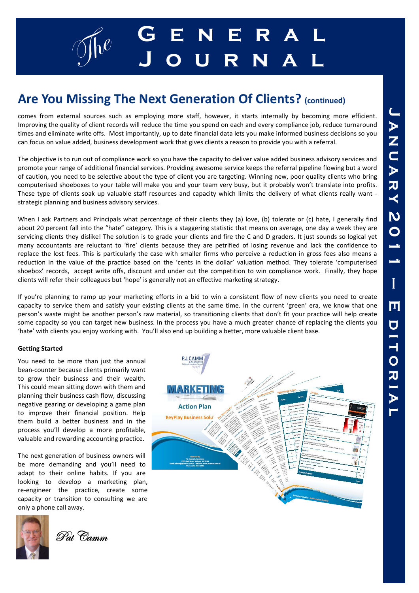

# **Are You Missing The Next Generation Of Clients? (continued)**

comes from external sources such as employing more staff, however, it starts internally by becoming more efficient. Improving the quality of client records will reduce the time you spend on each and every compliance job, reduce turnaround times and eliminate write offs. Most importantly, up to date financial data lets you make informed business decisions so you can focus on value added, business development work that gives clients a reason to provide you with a referral.

The objective is to run out of compliance work so you have the capacity to deliver value added business advisory services and promote your range of additional financial services. Providing awesome service keeps the referral pipeline flowing but a word of caution, you need to be selective about the type of client you are targeting. Winning new, poor quality clients who bring computerised shoeboxes to your table will make you and your team very busy, but it probably won't translate into profits. These type of clients soak up valuable staff resources and capacity which limits the delivery of what clients really want strategic planning and business advisory services.

When I ask Partners and Principals what percentage of their clients they (a) love, (b) tolerate or (c) hate, I generally find about 20 percent fall into the "hate" category. This is a staggering statistic that means on average, one day a week they are servicing clients they dislike! The solution is to grade your clients and fire the C and D graders. It just sounds so logical yet many accountants are reluctant to 'fire' clients because they are petrified of losing revenue and lack the confidence to replace the lost fees. This is particularly the case with smaller firms who perceive a reduction in gross fees also means a reduction in the value of the practice based on the 'cents in the dollar' valuation method. They tolerate 'computerised shoebox' records, accept write offs, discount and under cut the competition to win compliance work. Finally, they hope clients will refer their colleagues but 'hope' is generally not an effective marketing strategy.

If you're planning to ramp up your marketing efforts in a bid to win a consistent flow of new clients you need to create capacity to service them and satisfy your existing clients at the same time. In the current 'green' era, we know that one person's waste might be another person's raw material, so transitioning clients that don't fit your practice will help create some capacity so you can target new business. In the process you have a much greater chance of replacing the clients you 'hate' with clients you enjoy working with. You'll also end up building a better, more valuable client base.

#### **Getting Started**

You need to be more than just the annual bean-counter because clients primarily want to grow their business and their wealth. This could mean sitting down with them and planning their business cash flow, discussing negative gearing or developing a game plan to improve their financial position. Help them build a better business and in the process you'll develop a more profitable, valuable and rewarding accounting practice.

The next generation of business owners will be more demanding and you'll need to adapt to their online habits. If you are looking to develop a marketing plan, re-engineer the practice, create some capacity or transition to consulting we are only a phone call away.





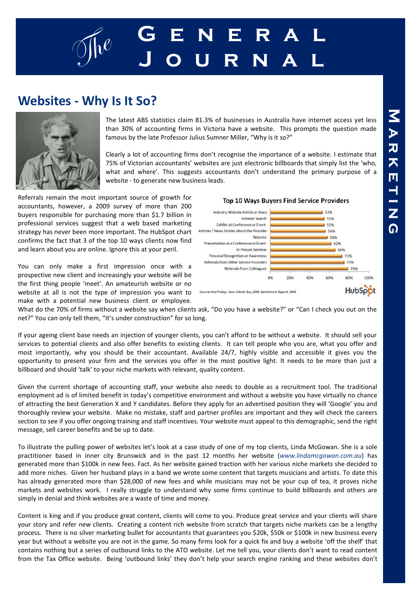# g $\int_{0}^{\infty}$  **G** E N E R A L **J o u r n a l**

### **Websites - Why Is It So?**



The latest ABS statistics claim 81.3% of businesses in Australia have internet access yet less than 30% of accounting firms in Victoria have a website. This prompts the question made famous by the late Professor Julius Sumner Miller, "Why is it so?"

Clearly a lot of accounting firms don't recognise the importance of a website. I estimate that 75% of Victorian accountants' websites are just electronic billboards that simply list the 'who, what and where'. This suggests accountants don't understand the primary purpose of a website - to generate new business leads.

Referrals remain the most important source of growth for accountants, however, a 2009 survey of more than 200 buyers responsible for purchasing more than \$1.7 billion in professional services suggest that a web based marketing strategy has never been more important. The HubSpot chart confirms the fact that 3 of the top 10 ways clients now find and learn about you are online. Ignore this at your peril.

You can only make a first impression once with a prospective new client and increasingly your website will be the first thing people 'meet'. An amateurish website or no website at all is not the type of impression you want to make with a potential new business client or employee.



What do the 70% of firms without a website say when clients ask, "Do you have a website?" or "Can I check you out on the net?" You can only tell them, "It's under construction" for so long.

If your ageing client base needs an injection of younger clients, you can't afford to be without a website. It should sell your services to potential clients and also offer benefits to existing clients. It can tell people who you are, what you offer and most importantly, why you should be their accountant. Available 24/7, highly visible and accessible it gives you the opportunity to present your firm and the services you offer in the most positive light. It needs to be more than just a billboard and should 'talk' to your niche markets with relevant, quality content.

Given the current shortage of accounting staff, your website also needs to double as a recruitment tool. The traditional employment ad is of limited benefit in today's competitive environment and without a website you have virtually no chance of attracting the best Generation X and Y candidates. Before they apply for an advertised position they will 'Google' you and thoroughly review your website. Make no mistake, staff and partner profiles are important and they will check the careers section to see if you offer ongoing training and staff incentives. Your website must appeal to this demographic, send the right message, sell career benefits and be up to date.

To illustrate the pulling power of websites let's look at a case study of one of my top clients, Linda McGowan. She is a sole practitioner based in inner city Brunswick and in the past 12 months her website (*www.lindamcgowan.com.au*) has generated more than \$100k in new fees. Fact. As her website gained traction with her various niche markets she decided to add more niches. Given her husband plays in a band we wrote some content that targets musicians and artists. To date this has already generated more than \$28,000 of new fees and while musicians may not be your cup of tea, it proves niche markets and websites work. I really struggle to understand why some firms continue to build billboards and others are simply in denial and think websites are a waste of time and money.

Content is king and if you produce great content, clients will come to you. Produce great service and your clients will share your story and refer new clients. Creating a content rich website from scratch that targets niche markets can be a lengthy process. There is no silver marketing bullet for accountants that guarantees you \$20k, \$50k or \$100k in new business every year but without a website you are not in the game. So many firms look for a quick fix and buy a website 'off the shelf' that contains nothing but a series of outbound links to the ATO website. Let me tell you, your clients don't want to read content from the Tax Office website. Being 'outbound links' they don't help your search engine ranking and these websites don't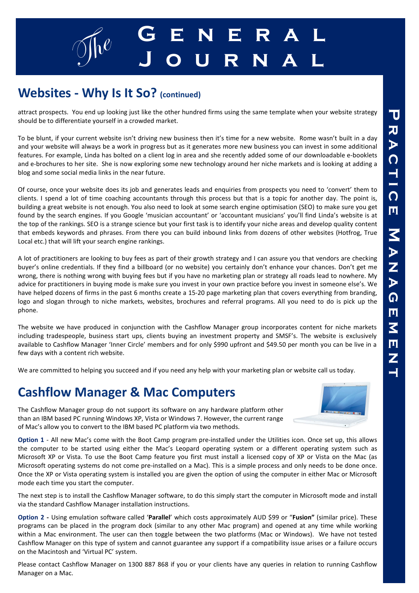# g $\int_{0}^{\infty}$  **G** E N E R A L **J o u r n a l**

### **Websites - Why Is It So? (continued)**

attract prospects. You end up looking just like the other hundred firms using the same template when your website strategy should be to differentiate yourself in a crowded market.

To be blunt, if your current website isn't driving new business then it's time for a new website. Rome wasn't built in a day and your website will always be a work in progress but as it generates more new business you can invest in some additional features. For example, Linda has bolted on a client log in area and she recently added some of our downloadable e-booklets and e-brochures to her site. She is now exploring some new technology around her niche markets and is looking at adding a blog and some social media links in the near future.

Of course, once your website does its job and generates leads and enquiries from prospects you need to 'convert' them to clients. I spend a lot of time coaching accountants through this process but that is a topic for another day. The point is, building a great website is not enough. You also need to look at some search engine optimisation (SEO) to make sure you get found by the search engines. If you Google 'musician accountant' or 'accountant musicians' you'll find Linda's website is at the top of the rankings. SEO is a strange science but your first task is to identify your niche areas and develop quality content that embeds keywords and phrases. From there you can build inbound links from dozens of other websites (Hotfrog, True Local etc.) that will lift your search engine rankings.

A lot of practitioners are looking to buy fees as part of their growth strategy and I can assure you that vendors are checking buyer's online credentials. If they find a billboard (or no website) you certainly don't enhance your chances. Don't get me wrong, there is nothing wrong with buying fees but if you have no marketing plan or strategy all roads lead to nowhere. My advice for practitioners in buying mode is make sure you invest in your own practice before you invest in someone else's. We have helped dozens of firms in the past 6 months create a 15-20 page marketing plan that covers everything from branding, logo and slogan through to niche markets, websites, brochures and referral programs. All you need to do is pick up the phone.

The website we have produced in conjunction with the Cashflow Manager group incorporates content for niche markets including tradespeople, business start ups, clients buying an investment property and SMSF's. The website is exclusively available to Cashflow Manager 'Inner Circle' members and for only \$990 upfront and \$49.50 per month you can be live in a few days with a content rich website.

We are committed to helping you succeed and if you need any help with your marketing plan or website call us today.

### **Cashflow Manager & Mac Computers**

The Cashflow Manager group do not support its software on any hardware platform other than an IBM based PC running Windows XP, Vista or Windows 7. However, the current range of Mac's allow you to convert to the IBM based PC platform via two methods.

**Option 1** - All new Mac's come with the Boot Camp program pre-installed under the Utilities icon. Once set up, this allows the computer to be started using either the Mac's Leopard operating system or a different operating system such as Microsoft XP or Vista. To use the Boot Camp feature you first must install a licensed copy of XP or Vista on the Mac (as Microsoft operating systems do not come pre-installed on a Mac). This is a simple process and only needs to be done once. Once the XP or Vista operating system is installed you are given the option of using the computer in either Mac or Microsoft mode each time you start the computer.

The next step is to install the Cashflow Manager software, to do this simply start the computer in Microsoft mode and install via the standard Cashflow Manager installation instructions.

**Option 2 -** Using emulation software called '**Parallel**' which costs approximately AUD \$99 or "**Fusion"** (similar price). These programs can be placed in the program dock (similar to any other Mac program) and opened at any time while working within a Mac environment. The user can then toggle between the two platforms (Mac or Windows). We have not tested Cashflow Manager on this type of system and cannot guarantee any support if a compatibility issue arises or a failure occurs on the Macintosh and 'Virtual PC' system.

Please contact Cashflow Manager on 1300 887 868 if you or your clients have any queries in relation to running Cashflow Manager on a Mac.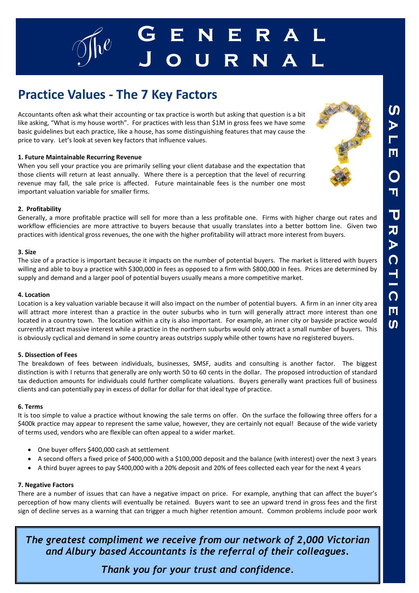

## **Practice Values - The 7 Key Factors**

Accountants often ask what their accounting or tax practice is worth but asking that question is a bit like asking, "What is my house worth". For practices with less than \$1M in gross fees we have some basic guidelines but each practice, like a house, has some distinguishing features that may cause the price to vary. Let's look at seven key factors that influence values.

#### **1. Future Maintainable Recurring Revenue**

When you sell your practice you are primarily selling your client database and the expectation that those clients will return at least annually. Where there is a perception that the level of recurring revenue may fall, the sale price is affected. Future maintainable fees is the number one most important valuation variable for smaller firms.

#### **2. Profitability**

Generally, a more profitable practice will sell for more than a less profitable one. Firms with higher charge out rates and workflow efficiencies are more attractive to buyers because that usually translates into a better bottom line. Given two practices with identical gross revenues, the one with the higher profitability will attract more interest from buyers.

#### **3. Size**

The size of a practice is important because it impacts on the number of potential buyers. The market is littered with buyers willing and able to buy a practice with \$300,000 in fees as opposed to a firm with \$800,000 in fees. Prices are determined by supply and demand and a larger pool of potential buyers usually means a more competitive market.

#### **4. Location**

Location is a key valuation variable because it will also impact on the number of potential buyers. A firm in an inner city area will attract more interest than a practice in the outer suburbs who in turn will generally attract more interest than one located in a country town. The location within a city is also important. For example, an inner city or bayside practice would currently attract massive interest while a practice in the northern suburbs would only attract a small number of buyers. This is obviously cyclical and demand in some country areas outstrips supply while other towns have no registered buyers.

#### **5. Dissection of Fees**

The breakdown of fees between individuals, businesses, SMSF, audits and consulting is another factor. The biggest distinction is with I returns that generally are only worth 50 to 60 cents in the dollar. The proposed introduction of standard tax deduction amounts for individuals could further complicate valuations. Buyers generally want practices full of business clients and can potentially pay in excess of dollar for dollar for that ideal type of practice.

#### **6. Terms**

It is too simple to value a practice without knowing the sale terms on offer. On the surface the following three offers for a \$400k practice may appear to represent the same value, however, they are certainly not equal! Because of the wide variety of terms used, vendors who are flexible can often appeal to a wider market.

- One buyer offers \$400,000 cash at settlement
- A second offers a fixed price of \$400,000 with a \$100,000 deposit and the balance (with interest) over the next 3 years
- A third buyer agrees to pay \$400,000 with a 20% deposit and 20% of fees collected each year for the next 4 years

#### **7. Negative Factors**

There are a number of issues that can have a negative impact on price. For example, anything that can affect the buyer's perception of how many clients will eventually be retained. Buyers want to see an upward trend in gross fees and the first sign of decline serves as a warning that can trigger a much higher retention amount. Common problems include poor work

*The greatest compliment we receive from our network of 2,000 Victorian and Albury based Accountants is the referral of their colleagues.* 

*Thank you for your trust and confidence.*